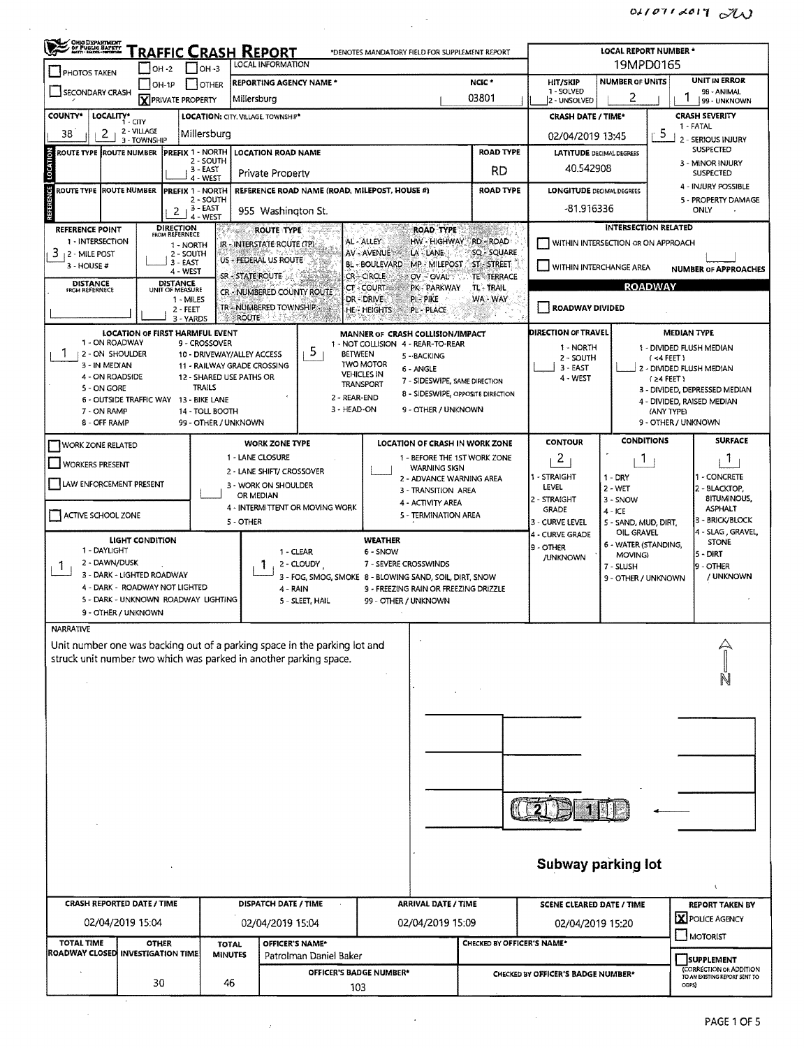| <b>CHIO DEPARTMENT</b><br>OF PUBLIC BAPETY                                |                                        |                                                 |                                                   |                             |                                                                        |                                                                    |                                 |                                    |                                    |                                          |                                                         |  |  |
|---------------------------------------------------------------------------|----------------------------------------|-------------------------------------------------|---------------------------------------------------|-----------------------------|------------------------------------------------------------------------|--------------------------------------------------------------------|---------------------------------|------------------------------------|------------------------------------|------------------------------------------|---------------------------------------------------------|--|--|
|                                                                           |                                        |                                                 | <u> Traffic Crash Report</u><br>LOCAL INFORMATION |                             | *DENOTES MANDATORY FIELD FOR SUPPLEMENT REPORT                         |                                                                    |                                 | LOCAL REPORT NUMBER *<br>19MPD0165 |                                    |                                          |                                                         |  |  |
| <b>PHOTOS TAKEN</b>                                                       | $OH - 2$<br>$[OH-1P]$                  | $ $ $ $ OH -3<br><b>I</b> JOTHER                | <b>REPORTING AGENCY NAME *</b>                    |                             |                                                                        |                                                                    | NCIC <sup>*</sup>               | <b>HIT/SKIP</b>                    | <b>NUMBER OF UNITS</b>             |                                          | <b>UNIT IN ERROR</b>                                    |  |  |
| SECONDARY CRASH                                                           | <b>X</b> PRIVATE PROPERTY              |                                                 | Millersburg                                       |                             |                                                                        |                                                                    | 03801                           | 1 - SOLVED<br>2 - UNSOLVED         | 2                                  |                                          | 98 - ANIMAL<br>99 - UNKNOWN                             |  |  |
| <b>COUNTY*</b><br>LOCALITY*                                               |                                        |                                                 | LOCATION: CITY. VILLAGE. TOWNSHIP*                |                             |                                                                        |                                                                    |                                 | <b>CRASH DATE / TIME*</b>          |                                    |                                          | <b>CRASH SEVERITY</b>                                   |  |  |
| 38<br>2                                                                   | 1 - CITY<br>2 - VILLAGE                | Millersburg                                     |                                                   |                             |                                                                        |                                                                    |                                 | 02/04/2019 13:45                   |                                    | -5                                       | 1 - FATAL                                               |  |  |
| 3 - TOWNSHIP<br>ROUTE TYPE (ROUTE NUMBER                                  | <b>LOCATION ROAD NAME</b>              |                                                 |                                                   | <b>ROAD TYPE</b>            | <b>LATITUDE DECIMAL DEGREES</b>                                        |                                                                    | 2 - SERIOUS INJURY<br>SUSPECTED |                                    |                                    |                                          |                                                         |  |  |
| <b>LOCATION</b><br>PREFIX 1 - NORTH<br>2 - SOUTH<br>3 - EAST              |                                        |                                                 |                                                   |                             |                                                                        | RD                                                                 | 40.542908                       |                                    | 3 - MINOR INJURY                   |                                          |                                                         |  |  |
|                                                                           |                                        | 4 WEST                                          | Private Property                                  |                             |                                                                        |                                                                    |                                 |                                    |                                    |                                          | <b>SUSPECTED</b><br>4 - INJURY POSSIBLE                 |  |  |
| ă<br>ROUTE TYPE ROUTE NUMBER                                              |                                        | PREFIX 1 - NORTH<br>2 - SOUTH                   |                                                   |                             | REFERENCE ROAD NAME (ROAD, MILEPOST, HOUSE #)                          |                                                                    | <b>ROAD TYPE</b>                | <b>LONGITUDE DECIMAL DEGREES</b>   |                                    |                                          | 5 - PROPERTY DAMAGE                                     |  |  |
| 33333                                                                     | 2                                      | 3 - EAST<br>4 - WEST                            | 955 Washington St.                                |                             |                                                                        |                                                                    |                                 | -81.916336                         | ONLY                               |                                          |                                                         |  |  |
| REFERENCE POINT                                                           | <b>DIRECTION</b><br>FROM REFERNECE     |                                                 | <b>ROUTE TYPE</b>                                 |                             |                                                                        | <b>ROAD TYPE</b>                                                   |                                 |                                    | <b>INTERSECTION RELATED</b>        |                                          |                                                         |  |  |
| 1 - INTERSECTION<br>$3 + 2 -$ MILE POST                                   |                                        | 1 - NORTH<br>2 - SOUTH                          | IR - INTERSTATE ROUTE (TP):                       |                             | AL - ALLEY<br>AV - AVENUE                                              | <b>HW - HIGHWAY</b><br>LA - LANE                                   | RD-ROAD<br>SQ - SQUARE          |                                    | WITHIN INTERSECTION OR ON APPROACH |                                          |                                                         |  |  |
| 3 - HOUSE #                                                               | 3 - EAST<br>4 - WEST                   |                                                 | US - FEDERAL US ROUTE                             |                             | BL - BOULEVARD                                                         | MP - MILEPOST                                                      | ST-STREET                       | <b>WITHIN INTERCHANGE AREA</b>     |                                    |                                          | <b>NUMBER OF APPROACHES</b>                             |  |  |
| <b>DISTANCE</b><br>FROM REFERNECE                                         | <b>DISTANCE</b><br>UNIT OF MEASURE     |                                                 | SR - STATE ROUTE<br>CR - NUMBERED COUNTY ROUTE    |                             | CR-CIRCLE<br>CT-COURT                                                  | OV-OVAL<br>PK - PARKWAY                                            | <b>TE-TERRACE</b><br>TL - TRAIL |                                    |                                    | <b>ROADWAY</b>                           |                                                         |  |  |
|                                                                           |                                        | 1 - MILES                                       | TR-NUMBERED TOWNSHIP                              |                             | PI - PIKE<br>DR-DRIVE                                                  |                                                                    | WA - WAY                        | <b>ROADWAY DIVIDED</b>             |                                    |                                          |                                                         |  |  |
|                                                                           |                                        | 2 - FEET<br>3 - YARDS                           | ROUTE                                             |                             | <b>HE - HEIGHTS</b>                                                    | <b>PL - PLACE</b>                                                  |                                 |                                    |                                    |                                          |                                                         |  |  |
| 1 - ON ROADWAY                                                            | <b>LOCATION OF FIRST HARMFUL EVENT</b> | 9 - CROSSOVER                                   |                                                   |                             | MANNER OF CRASH COLLISION/IMPACT<br>1 - NOT COLLISION 4 - REAR-TO-REAR |                                                                    |                                 | DIRECTION OF TRAVEL                |                                    | <b>MEDIAN TYPE</b>                       |                                                         |  |  |
| J.<br>2 - ON SHOULDER                                                     |                                        | 10 - DRIVEWAY/ALLEY ACCESS                      |                                                   | 5                           | BETWEEN<br>5 - BACKING                                                 |                                                                    |                                 | 1 - NORTH<br>2 - SOUTH             |                                    | $(44$ FEET)                              | 1 - DIVIDED FLUSH MEDIAN                                |  |  |
| 3 - IN MEDIAN<br>4 - ON ROADSIDE                                          |                                        | 12 - SHARED USE PATHS OR                        | 11 - RAILWAY GRADE CROSSING                       |                             | <b>TWO MOTOR</b><br>6 - ANGLE<br><b>VEHICLES IN</b>                    |                                                                    |                                 | 3 - EAST<br>4 - WEST               |                                    |                                          | 2 - DIVIDED FLUSH MEDIAN                                |  |  |
| 5 - ON GORE                                                               |                                        | TRAILS                                          |                                                   |                             | <b>TRANSPORT</b>                                                       | 7 - SIDESWIPE, SAME DIRECTION<br>8 - SIDESWIPE, OPPOSITE DIRECTION |                                 |                                    |                                    | { 24 FEET }                              | 3 - DIVIDED, DEPRESSED MEDIAN                           |  |  |
| 6 - OUTSIDE TRAFFIC WAY<br>7 - ON RAMP                                    |                                        | 13 - BIKE LANE<br>14 - TOLL BOOTH               |                                                   | 2 - REAR-END<br>3 - HEAD-ON |                                                                        | 9 - OTHER / UNKNOWN                                                |                                 |                                    |                                    | 4 - DIVIDED, RAISED MEDIAN<br>(ANY TYPE) |                                                         |  |  |
| 8 - OFF RAMP                                                              |                                        | 99 - OTHER / UNKNOWN                            |                                                   |                             |                                                                        |                                                                    |                                 |                                    |                                    | 9 - OTHER / UNKNOWN                      |                                                         |  |  |
| <b>WORK ZONE RELATED</b>                                                  |                                        |                                                 | <b>WORK ZONE TYPE</b>                             |                             | LOCATION OF CRASH IN WORK ZONE                                         |                                                                    |                                 | CONTOUR                            | <b>CONDITIONS</b>                  |                                          | <b>SURFACE</b>                                          |  |  |
| <b>WORKERS PRESENT</b>                                                    |                                        |                                                 | 1 - LANE CLOSURE                                  |                             |                                                                        | 1 - BEFORE THE 1ST WORK ZONE                                       |                                 | $\mathbf{2}$                       | Т.                                 |                                          | Т.                                                      |  |  |
|                                                                           |                                        | <b>WARNING SIGN</b><br>2 - ADVANCE WARNING AREA |                                                   | 1 - STRAIGHT                | $1 - DRY$                                                              |                                                                    | I - CONCRETE                    |                                    |                                    |                                          |                                                         |  |  |
| LAW ENFORCEMENT PRESENT                                                   |                                        |                                                 | 3 - WORK ON SHOULDER<br>OR MEDIAN                 |                             |                                                                        | 3 - TRANSITION AREA                                                |                                 | LEVEL<br>2 - STRAIGHT              | 2 - WET<br>3 - SNOW                |                                          | 2 - BLACKTOP,<br><b>BITUMINOUS,</b>                     |  |  |
| ACTIVE SCHOOL ZONE                                                        |                                        |                                                 | 4 - INTERMITTENT OR MOVING WORK                   |                             |                                                                        | 4 - ACTIVITY AREA<br>5 - TERMINATION AREA                          |                                 | GRADE                              | $4 - ICE$                          |                                          | <b>ASPHALT</b>                                          |  |  |
|                                                                           |                                        |                                                 | 5 - OTHER                                         |                             |                                                                        |                                                                    |                                 | 3 - CURVE LEVEL<br>4 - CURVE GRADE | 5 - SAND, MUD, DIRT,<br>OIL GRAVEL |                                          | 3 - BRICK/BLOCK<br>4 - SLAG, GRAVEL,                    |  |  |
| 1 - DAYLIGHT                                                              | <b>LIGHT CONDITION</b>                 |                                                 |                                                   | 1 - CLEAR                   | <b>WEATHER</b><br>6 - SNOW                                             |                                                                    |                                 | 9 - OTHER                          | 6 - WATER (STANDING,               |                                          | <b>STONE</b>                                            |  |  |
| 2 - DAWN/DUSK<br>Т.                                                       |                                        |                                                 |                                                   | 2 - CLOUDY                  | 7 - SEVERE CROSSWINDS                                                  |                                                                    |                                 | <b>/UNKNOWN</b>                    | <b>MOVING)</b><br>7 - SLUSH        |                                          | 5 - DIRT<br>9 - OTHER                                   |  |  |
| 3 - DARK - LIGHTED ROADWAY                                                |                                        |                                                 |                                                   |                             | 3 - FOG, SMOG, SMOKE 8 - BLOWING SAND, SOIL, DIRT, SNOW                |                                                                    |                                 |                                    | 9 - OTHER / UNKNOWN                |                                          | / UNKNOWN                                               |  |  |
| 4 - DARK - ROADWAY NOT LIGHTED<br>5 - DARK - UNKNOWN ROADWAY LIGHTING     |                                        |                                                 | 4 - RAIN                                          |                             | 9 - FREEZING RAIN OR FREEZING DRIZZLE<br>99 - OTHER / UNKNOWN          |                                                                    |                                 |                                    |                                    |                                          |                                                         |  |  |
| 9 - OTHER / UNKNOWN                                                       |                                        |                                                 |                                                   |                             |                                                                        |                                                                    |                                 |                                    |                                    |                                          |                                                         |  |  |
| <b>NARRATIVE</b>                                                          |                                        |                                                 |                                                   |                             |                                                                        |                                                                    |                                 |                                    |                                    |                                          |                                                         |  |  |
| Unit number one was backing out of a parking space in the parking lot and |                                        |                                                 |                                                   |                             |                                                                        |                                                                    |                                 |                                    |                                    |                                          |                                                         |  |  |
| struck unit number two which was parked in another parking space.         |                                        |                                                 |                                                   |                             |                                                                        |                                                                    |                                 |                                    |                                    |                                          |                                                         |  |  |
|                                                                           |                                        |                                                 |                                                   |                             |                                                                        |                                                                    |                                 |                                    |                                    |                                          |                                                         |  |  |
|                                                                           |                                        |                                                 |                                                   |                             |                                                                        |                                                                    |                                 |                                    |                                    |                                          |                                                         |  |  |
|                                                                           |                                        |                                                 |                                                   |                             |                                                                        |                                                                    |                                 |                                    |                                    |                                          |                                                         |  |  |
|                                                                           |                                        |                                                 |                                                   |                             |                                                                        |                                                                    |                                 |                                    |                                    |                                          |                                                         |  |  |
|                                                                           |                                        |                                                 |                                                   |                             |                                                                        |                                                                    |                                 |                                    |                                    |                                          |                                                         |  |  |
|                                                                           |                                        |                                                 |                                                   |                             |                                                                        |                                                                    |                                 |                                    |                                    |                                          |                                                         |  |  |
|                                                                           |                                        |                                                 |                                                   |                             |                                                                        |                                                                    |                                 |                                    |                                    |                                          |                                                         |  |  |
|                                                                           |                                        |                                                 |                                                   |                             |                                                                        |                                                                    |                                 |                                    |                                    |                                          |                                                         |  |  |
|                                                                           |                                        |                                                 |                                                   |                             |                                                                        |                                                                    |                                 |                                    |                                    |                                          |                                                         |  |  |
|                                                                           |                                        |                                                 |                                                   |                             |                                                                        |                                                                    |                                 |                                    |                                    |                                          |                                                         |  |  |
|                                                                           |                                        |                                                 |                                                   |                             |                                                                        |                                                                    |                                 |                                    |                                    |                                          |                                                         |  |  |
|                                                                           |                                        |                                                 |                                                   |                             |                                                                        |                                                                    |                                 |                                    |                                    |                                          |                                                         |  |  |
|                                                                           |                                        |                                                 |                                                   |                             |                                                                        |                                                                    |                                 | <b>Subway parking lot</b>          |                                    |                                          |                                                         |  |  |
|                                                                           |                                        |                                                 |                                                   |                             |                                                                        |                                                                    |                                 |                                    |                                    |                                          |                                                         |  |  |
| <b>CRASH REPORTED DATE / TIME</b>                                         |                                        |                                                 | <b>DISPATCH DATE / TIME</b>                       |                             |                                                                        | <b>ARRIVAL DATE / TIME</b>                                         |                                 | <b>SCENE CLEARED DATE / TIME</b>   |                                    |                                          | <b>REPORT TAKEN BY</b>                                  |  |  |
| 02/04/2019 15:04                                                          |                                        |                                                 | 02/04/2019 15:04                                  |                             |                                                                        | 02/04/2019 15:09                                                   |                                 | 02/04/2019 15:20                   |                                    |                                          | X POLICE AGENCY                                         |  |  |
| <b>TOTAL TIME</b>                                                         | <b>OTHER</b>                           | <b>TOTAL</b>                                    | OFFICER'S NAME*                                   |                             |                                                                        |                                                                    | CHECKED BY OFFICER'S NAME*      |                                    |                                    |                                          | MOTORIST                                                |  |  |
| <b>ROADWAY CLOSED INVESTIGATION TIME</b>                                  |                                        | <b>MINUTES</b>                                  |                                                   | Patrolman Daniel Baker      |                                                                        |                                                                    |                                 |                                    |                                    |                                          | <b>SUPPLEMENT</b>                                       |  |  |
|                                                                           | 30                                     | 46                                              |                                                   |                             | OFFICER'S BADGE NUMBER*<br>103                                         |                                                                    |                                 | CHECKED BY OFFICER'S BADGE NUMBER* |                                    | ODPS)                                    | CORRECTION OR ADDITION<br>TO AN EXISTING REPORT SENT TO |  |  |

 $\mathcal{L}(\mathbf{z})$  .

 $\mathcal{L}(\mathcal{A})$  and  $\mathcal{L}(\mathcal{A})$  and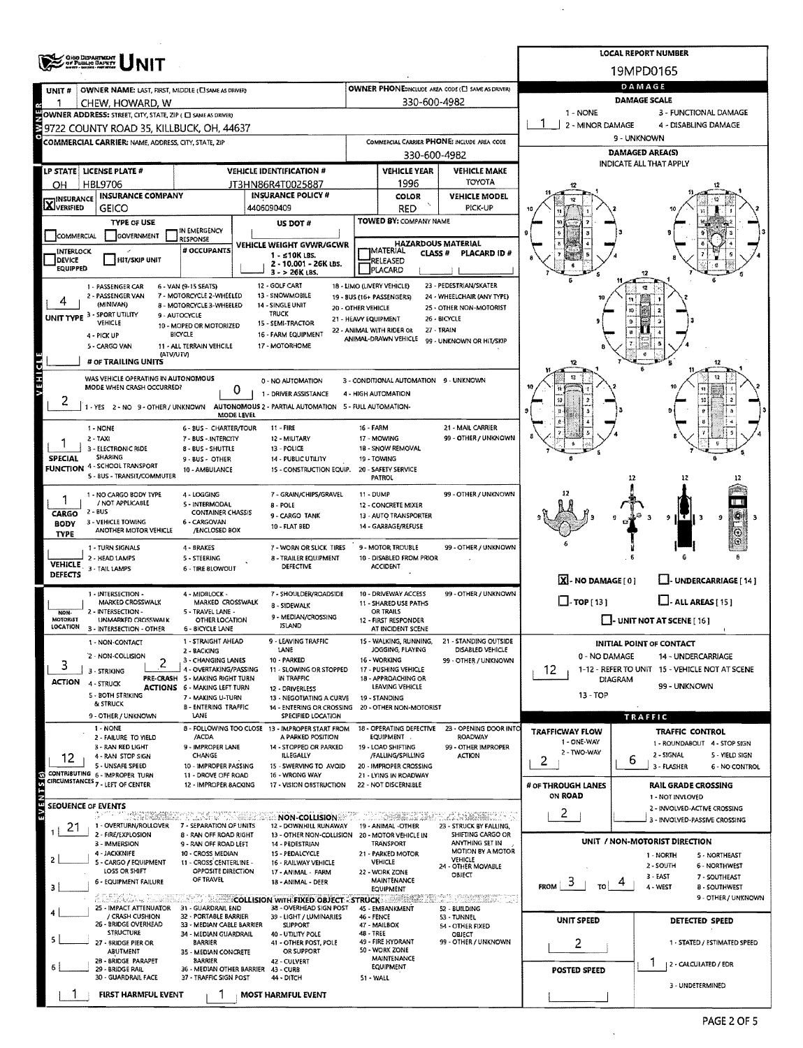|                                   |                                                                               |                                                                                 |                                                                         |                                                                               |                                                   |                                                       |                                       | <b>LOCAL REPORT NUMBER</b>                                    |  |  |  |  |
|-----------------------------------|-------------------------------------------------------------------------------|---------------------------------------------------------------------------------|-------------------------------------------------------------------------|-------------------------------------------------------------------------------|---------------------------------------------------|-------------------------------------------------------|---------------------------------------|---------------------------------------------------------------|--|--|--|--|
|                                   | <b>CHO DEPARTMENT</b><br><i><b>OF PUBLIC BARETT</b></i>                       |                                                                                 |                                                                         |                                                                               |                                                   |                                                       |                                       | 19MPD0165                                                     |  |  |  |  |
| UNIT#                             | OWNER NAME: LAST, FIRST, MIDDLE (C) SAME AS DRIVER)                           |                                                                                 |                                                                         |                                                                               |                                                   | OWNER PHONE:INCLUDE AREA CODE (C) SAME AS DRIVER)     |                                       | DAMAGE                                                        |  |  |  |  |
|                                   | CHEW, HOWARD, W                                                               |                                                                                 |                                                                         | <b>DAMAGE SCALE</b>                                                           |                                                   |                                                       |                                       |                                                               |  |  |  |  |
|                                   | OWNER ADDRESS: STREET, CITY, STATE, ZIP ( C SAME AS DRIVER)                   |                                                                                 |                                                                         | 1 - NONE<br>3 - FUNCTIONAL DAMAGE<br>2 - MINOR DAMAGE<br>4 - DISABLING DAMAGE |                                                   |                                                       |                                       |                                                               |  |  |  |  |
|                                   | 9722 COUNTY ROAD 35, KILLBUCK, OH, 44637                                      |                                                                                 | COMMERCIAL CARRIER PHONE: INCLUDE AREA CODE                             |                                                                               | 9 - UNKNOWN                                       |                                                       |                                       |                                                               |  |  |  |  |
|                                   | COMMERCIAL CARRIER: NAME, ADDRESS, CITY, STATE, ZIP                           |                                                                                 |                                                                         | <b>DAMAGED AREA(S)</b>                                                        |                                                   |                                                       |                                       |                                                               |  |  |  |  |
|                                   | LP STATE   LICENSE PLATE #                                                    |                                                                                 | <b>VEHICLE IDENTIFICATION #</b>                                         |                                                                               | 330-600-4982<br><b>VEHICLE YEAR</b>               | <b>VEHICLE MAKE</b>                                   |                                       | <b>INDICATE ALL THAT APPLY</b>                                |  |  |  |  |
| OН                                | <b>HBL9706</b>                                                                |                                                                                 | JT3HN86R4T0025887                                                       |                                                                               | 1996                                              | TOYOTA                                                |                                       |                                                               |  |  |  |  |
|                                   | <b>INSURANCE COMPANY</b>                                                      |                                                                                 | <b>INSURANCE POLICY #</b>                                               |                                                                               | COLOR                                             | <b>VEHICLE MODEL</b>                                  |                                       |                                                               |  |  |  |  |
| <b>X</b> INSURANCE                | <b>GEICO</b>                                                                  |                                                                                 | 4406090409                                                              |                                                                               | RED                                               | PICK-UP                                               |                                       |                                                               |  |  |  |  |
|                                   | <b>TYPE OF USE</b>                                                            | IN EMERGENCY                                                                    | US DOT #                                                                |                                                                               | TOWED BY: COMPANY NAME                            |                                                       |                                       |                                                               |  |  |  |  |
| COMMERCIAL                        | <b>GOVERNMENT</b>                                                             | RESPONSE                                                                        | VEHICLE WEIGHT GVWR/GCWR                                                |                                                                               | <b>HAZARDOUS MATERIAL</b>                         |                                                       |                                       |                                                               |  |  |  |  |
| <b>INTERLOCK</b><br><b>DEVICE</b> | <b>HIT/SKIP UNIT</b>                                                          | # OCCUPANTS                                                                     | $1 - 510K$ LBS.<br>2 - 10.001 - 26K LBS.                                |                                                                               | MATERIAL<br>CLASS <sup>#</sup><br><b>RELEASED</b> | PLACARD ID#                                           |                                       |                                                               |  |  |  |  |
| <b>EQUIPPED</b>                   |                                                                               |                                                                                 | $3 - 26K$ LBS.                                                          |                                                                               | PLACARD                                           |                                                       |                                       |                                                               |  |  |  |  |
|                                   | 1 - PASSENGER CAR<br>2 - PASSENGER VAN                                        | 6 - VAN (9-15 SEATS)<br>7 - MOTORCYCLE 2-WHEELED                                | 12 - GOLF CART<br>13 - SNOWMOBILE                                       |                                                                               | 18 - LIMO (LIVERY VEHICLE)                        | 23 - PEDESTRIAN/SKATER                                |                                       |                                                               |  |  |  |  |
|                                   | (MINIVAN)                                                                     | 8 - MOTORCYCLE 3-WHEELED                                                        | 14 - SINGLE UNIT<br>20 - OTHER VEHICLE                                  |                                                                               | 19 - BUS (16+ PASSENGERS)                         | 24 - WHEELCHAIR (ANY TYPE)<br>25 - OTHER NON-MOTORIST |                                       |                                                               |  |  |  |  |
|                                   | UNIT TYPE 3 - SPORT UTILITY<br>VEHICLE                                        | 9 - AUTOCYCLE<br>10 - MOPED OR MOTORIZED                                        | <b>TRUCK</b><br>21 - HEAVY EQUIPMENT<br>15 - SEMI-TRACTOR               |                                                                               |                                                   | 26 - BICYCLE                                          |                                       |                                                               |  |  |  |  |
|                                   | 4 - PICK UP                                                                   | <b>BICYCLE</b>                                                                  | 16 - FARM EQUIPMENT                                                     |                                                                               | 22 - ANIMAL WITH RIDER OR<br>ANIMAL-DRAWN VEHICLE | 27 - TRAIN<br>99 - UNKNOWN OR HIT/SKIP                |                                       |                                                               |  |  |  |  |
|                                   | 5 - CARGO VAN<br>(ATV/UTV)                                                    | 11 - ALL TERRAIN VEHCILE                                                        | 17 - MOTORHOME                                                          |                                                                               |                                                   |                                                       |                                       |                                                               |  |  |  |  |
|                                   | # OF TRAILING UNITS                                                           |                                                                                 |                                                                         |                                                                               |                                                   |                                                       |                                       | 12<br>Б                                                       |  |  |  |  |
| VEHICLE                           | WAS VEHICLE OPERATING IN AUTONOMOUS<br>MODE WHEN CRASH OCCURRED?              |                                                                                 | 0 - NO AUTOMATION                                                       |                                                                               | 3 - CONDITIONAL AUTOMATION 9 - UNKNOWN            |                                                       |                                       | 12                                                            |  |  |  |  |
|                                   |                                                                               | 0                                                                               | 1 - DRIVER ASSISTANCE                                                   |                                                                               | 4 - HIGH AUTOMATION                               |                                                       |                                       |                                                               |  |  |  |  |
|                                   | 1 - YES 2 - NO 9 - OTHER / UNKNOWN                                            | MODE LEVEL                                                                      | AUTONOMOUS 2 - PARTIAL AUTOMATION 5 - FULL AUTOMATION-                  |                                                                               |                                                   |                                                       |                                       |                                                               |  |  |  |  |
|                                   | 1 - NONE                                                                      | 6 - BUS - CHARTER/TOUR                                                          | 11 - FIRE                                                               | 16 - FARM                                                                     |                                                   | 21 - MAIL CARRIER                                     |                                       |                                                               |  |  |  |  |
|                                   | $2 - TAXI$<br>3 - ELECTRONIC RIDE                                             | 7 - BUS - INTERCITY<br>8 - BUS - SHUTTLE                                        | 12 - MILITARY<br>13 - POLICE                                            |                                                                               | 17 - MOWING<br>18 - SNOW REMOVAL                  | 99 - OTHER / UNKNOWN                                  |                                       |                                                               |  |  |  |  |
| <b>SPECIAL</b>                    | <b>SHARING</b>                                                                | 9 - BUS - OTHER                                                                 | 14 - PUBLIC UTILITY                                                     |                                                                               | 19 - TOWING                                       |                                                       |                                       | 6                                                             |  |  |  |  |
|                                   | <b>FUNCTION 4 - SCHOOL TRANSPORT</b><br>S - BUS - TRANSIT/COMMUTER            | 10 - AMBULANCE                                                                  | 15 - CONSTRUCTION EQUIP. 20 - SAFETY SERVICE                            |                                                                               | PATROL                                            |                                                       |                                       | 12                                                            |  |  |  |  |
|                                   | 1 - NO CARGO BODY TYPE                                                        | 4 - LOGGING                                                                     | 7 - GRAIN/CHIPS/GRAVEL                                                  | <b>11 - DUMP</b>                                                              |                                                   | 99 - OTHER / UNKNOWN                                  |                                       |                                                               |  |  |  |  |
|                                   | / NOT APPLICABLE                                                              | 5 - INTERMODAL                                                                  | 8 - POLE                                                                |                                                                               | 12 - CONCRETE MIXER                               |                                                       |                                       |                                                               |  |  |  |  |
| CARGO<br><b>BODY</b>              | $2 - BUS$<br>3 - VEHICLE TOWING                                               | <b>CONTAINER CHASSIS</b><br>6 CARGOVAN                                          | 9 - CARGO TANK                                                          |                                                                               | 13 - AUTO TRANSPORTER<br>14 GARBAGE/REFUSE        |                                                       |                                       | τ<br>9 H<br>9                                                 |  |  |  |  |
| <b>TYPE</b>                       | ANOTHER MOTOR VEHICLE                                                         | /ENCLOSED BOX                                                                   | 10 - FLAT BED                                                           |                                                                               |                                                   |                                                       |                                       | $\odot$                                                       |  |  |  |  |
|                                   | 1 - TURN SIGNALS                                                              | 4 - BRAKES                                                                      | 7 - WORN OR SLICK TIRES                                                 |                                                                               | 9 - MOTOR TROUBLE                                 | 99 - OTHER / UNKNOWN                                  |                                       |                                                               |  |  |  |  |
| <b>VEHICLE</b>                    | 2 - HEAD LAMPS<br>3 - TAIL LAMPS                                              | 5 - STEERING<br>6 - TIRE BLOWOUT                                                | 8 - TRAILER EQUIPMENT<br><b>DEFECTIVE</b>                               |                                                                               | 10 - DISABLED FROM PRIOR<br><b>ACCIDENT</b>       |                                                       |                                       |                                                               |  |  |  |  |
| <b>DEFECTS</b>                    |                                                                               |                                                                                 |                                                                         |                                                                               |                                                   |                                                       | X. NO DAMAGE [0]                      | - UNDERCARRIAGE [14]                                          |  |  |  |  |
|                                   | 1 - INTERSECTION -<br>MARKED CROSSWALK                                        | 4 - MIDBLOCK -<br>MARKED CROSSWALK                                              | 7 - SHOULDER/ROADSIDE                                                   |                                                                               | 10 - DRIVEWAY ACCESS<br>11 - SHARED USE PATHS     | 99 - OTHER / UNKNOWN                                  | $\Box$ -TOP [13]                      | $\Box$ - ALL AREAS [ 15 ]                                     |  |  |  |  |
| NON-<br><b>MOTORIST</b>           | 2 - INTERSECTION -                                                            | 5 - TRAVEL LANE -                                                               | 8 - SIDEWALK<br>9 - MEDIAN/CROSSING                                     |                                                                               | OR TRAILS                                         |                                                       | $\Box$ - UNIT NOT AT SCENE [16]       |                                                               |  |  |  |  |
| LOCATION                          | UNMARKED CROSSWALK<br>3 - INTERSECTION - OTHER                                | OTHER LOCATION<br><b>6 - BICYCLE LANE</b>                                       | ISI AND                                                                 |                                                                               | 12 - FIRST RESPONDER<br>AT INCIDENT SCENE         |                                                       |                                       |                                                               |  |  |  |  |
|                                   | 1 - NON-CONTACT                                                               | 1 - STRAIGHT AHEAD                                                              | 9 - LEAVING TRAFFIC<br>LANE                                             |                                                                               | 15 - WALKING, RUNNING,<br>JOGGING, PLAYING        | 21 - STANDING OUTSIDE<br>DISABLED VEHICLE             |                                       | <b>INITIAL POINT OF CONTACT</b>                               |  |  |  |  |
|                                   | 2 - NON-COLLISION<br>2                                                        | 2 - BACKING<br>3 - CHANGING LANES                                               | 10 - PARKED                                                             |                                                                               | 16 - WORKING                                      | 99 - OTHER / UNKNOWN                                  | 0 - NO DAMAGE                         | 14 - UNDERCARRIAGE                                            |  |  |  |  |
| 3                                 | 3 - STRIKING                                                                  | 4 - OVERTAKING/PASSING<br>PRE-CRASH 5 - MAKING RIGHT TURN                       | 11 - SLOWING OR STOPPED<br>IN TRAFFIC                                   |                                                                               | 17 - PUSHING VEHICLE<br>18 - APPROACHING OR       |                                                       | 12<br><b>DIAGRAM</b>                  | 1-12 - REFER TO UNIT 15 - VEHICLE NOT AT SCENE                |  |  |  |  |
| <b>ACTION</b>                     | 4 - STRUCK<br>5 - BOTH STRIKING                                               | <b>ACTIONS 6 - MAKING LEFT TURN</b>                                             | 12 - DRIVERLESS                                                         |                                                                               | <b>LEAVING VEHICLE</b>                            |                                                       | 13 - TOP                              | 99 - UNKNOWN                                                  |  |  |  |  |
|                                   | & STRUCK                                                                      | 7 - MAKING U-TURN<br><b>B - ENTERING TRAFFIC</b>                                | 13 - NEGOTIATING A CURVE<br>14 - ENTERING OR CROSSING                   |                                                                               | 19 - STANDING<br>20 - OTHER NON-MOTORIST          |                                                       |                                       |                                                               |  |  |  |  |
|                                   | 9 - OTHER / UNKNOWN                                                           | LANE                                                                            | SPECIFIED LOCATION                                                      |                                                                               |                                                   |                                                       |                                       | TRAFFIC                                                       |  |  |  |  |
|                                   | 1 - NONE<br>2 - FAILURE TO YIELD                                              | /ACDA                                                                           | 8 - FOLLOWING TOO CLOSE 13 - IMPROPER START FROM<br>A PARKED POSITION   |                                                                               | 18 - OPERATING DEFECTIVE<br>EQUIPMENT.            | 23 - OPENING DOOR INTO<br>ROADWAY                     | <b>TRAFFICWAY FLOW</b><br>1 - ONE-WAY | <b>TRAFFIC CONTROL</b>                                        |  |  |  |  |
|                                   | 3 - RAN RED LIGHT<br>4 - RAN STOP SIGN                                        | 9 - IMPROPER LANE<br>CHANGE                                                     | 14 - STOPPED OR PARKED<br>ILLEGALLY                                     |                                                                               | 19 - LOAD SHIFTING<br>/FALLING/SPILLING           | 99 - OTHER IMPROPER<br><b>ACTION</b>                  | 2 - TWO-WAY                           | 1 - ROUNDABOUT 4 - STOP SIGN<br>2 - SIGNAL<br>5 - YIELD SIGN  |  |  |  |  |
| 12                                | 5 - UNSAFE SPEED                                                              | 10 - IMPROPER PASSING                                                           | 15 - SWERVING TO AVOID                                                  |                                                                               | 20 - IMPROPER CROSSING                            |                                                       | 2                                     | 6<br>3 - FLASHER<br>6 - NO CONTROL                            |  |  |  |  |
|                                   | CONTRIBUTING 6 - IMPROPER TURN<br>CIRCUMSTANCES <sub>7</sub> - LEFT OF CENTER | 11 - DROVE OFF ROAD<br>12 - IMPROPER BACKING                                    | 16 - WRONG WAY<br>17 - VISION OBSTRUCTION                               |                                                                               | 21 - LYING IN ROADWAY<br>22 - NOT DISCERNIBLE     |                                                       | # OF THROUGH LANES                    | <b>RAIL GRADE CROSSING</b>                                    |  |  |  |  |
|                                   |                                                                               |                                                                                 |                                                                         |                                                                               |                                                   |                                                       | ON ROAD                               | 1 - NOT INVLOVED                                              |  |  |  |  |
| EVENTS <sub>(S)</sub>             | SEOUENCE OF EVENTS<br>कुतार की<br><b>SENTRECES</b>                            | ELAMBI                                                                          | <b>NON-COLLISION</b>                                                    |                                                                               | $1.223488533338772$                               | <b>K.C.SEEKKRYK</b>                                   | 2                                     | 2 - INVOLVED-ACTIVE CROSSING<br>3 - INVOLVED-PASSIVE CROSSING |  |  |  |  |
| 21                                | 1 OVERTURN/ROLLOVER<br>2 - FIRE/EXPLOSION                                     | 7 - SEPARATION OF UNITS<br>8 - RAN OFF ROAD RIGHT                               | 12 - DOWNHILL RUNAWAY<br>13 - OTHER NON-COLLISION 20 - MOTOR VEHICLE IN |                                                                               | 19 - ANIMAL -OTHER                                | 23 - STRUCK BY FALLING,<br>SHIFTING CARGO OR          |                                       |                                                               |  |  |  |  |
|                                   | 3 - IMMERSION                                                                 | 9 - RAN OFF ROAD LEFT                                                           | 14 - PEDESTRIAN                                                         |                                                                               | TRANSPORT                                         | ANYTHING SET IN                                       |                                       | UNIT / NON-MOTORIST DIRECTION                                 |  |  |  |  |
| 2                                 | 4 - JACKKNIFE<br>5 - CARGO / EQUIPMENT                                        | 10 - CROSS MEDIAN<br>11 - CROSS CENTERLINE -                                    | 15 - PEDALCYCLE<br>16 - RAILWAY VEHICLE                                 |                                                                               | 21 - PARKED MOTOR<br><b>VEHICLE</b>               | <b>MOTION BY A MOTOR</b><br>VEHICLE                   |                                       | 1 - NORTH<br>5 - NORTHEAST<br>2 - SOUTH                       |  |  |  |  |
|                                   | LOSS OR SHIFT                                                                 | OPPOSITE DIRECTION<br>OF TRAVEL                                                 | 17 - ANIMAL - FARM                                                      |                                                                               | 22 - WORK ZONE<br>MAINTENANCE                     | 24 - OTHER MOVABLE<br>OBJECT                          |                                       | 6 - NORTHWEST<br>3 - EAST<br>7 - SOUTHEAST                    |  |  |  |  |
| з                                 | 6 - EQUIPMENT FAILURE                                                         |                                                                                 | 18 - ANIMAL - DEER                                                      |                                                                               | EQUIPMENT                                         |                                                       | $F_{\text{ROM}}$ 3<br>TO              | 4<br>4 - WEST<br><b>8 - SOUTHWEST</b>                         |  |  |  |  |
|                                   | 25 - IMPACT ATTENUATOR                                                        | A LEGACIAL ALEXANDRE COLLISION WITH FIXED OBJECT - STRUCK<br>31 - GUARDRAIL END | 38 - OVERHEAD SIGN POST                                                 |                                                                               | Albert A<br>45 - EMBANKMENT                       | ent formerne<br>52 - BUILDING                         |                                       | 9 - OTHER / UNKNOWN                                           |  |  |  |  |
|                                   | / CRASH CUSHION<br>26 - BRIDGE OVERHEAD                                       | 32 - PORTABLE BARRIER<br>33 - MEDIAN CABLE BARRIER                              | 39 - LIGHT / LUMINARIES<br><b>SUPPORT</b>                               | 46 - FENCE                                                                    | 47 - MAILBOX                                      | 53 - TUNNEL<br>54 OTHER FIXED                         | UNIT SPEED                            | <b>DETECTED SPEED</b>                                         |  |  |  |  |
| 5.                                | <b>STRUCTURE</b>                                                              | 34 - MEDIAN GUARDRAIL<br><b>BARRIER</b>                                         | 40 - UTILITY POLE                                                       | 48 - TREE                                                                     | 49 - FIRE HYDRANT                                 | OBJECT<br>99 - OTHER / UNKNOWN                        |                                       |                                                               |  |  |  |  |
|                                   | 27 - BRIDGE PIER OR<br>ABUTMENT                                               | 35 - MEDIAN CONCRETE                                                            | 41 - OTHER POST, POLE<br>OR SUPPORT                                     |                                                                               | 50 - WORK ZONE                                    |                                                       | 2                                     | 1 - STATED / ESTIMATED SPEED                                  |  |  |  |  |
|                                   | 28 - BRIDGE PARAPET<br>29 - BRIDGE RAIL                                       | <b>BARRIER</b><br>36 - MEDIAN OTHER BARRIER                                     | 42 - CULVERT<br>43 - CURB                                               |                                                                               | MAINTENANCE<br>EQUIPMENT                          |                                                       | <b>POSTED SPEED</b>                   | 2 - CALCULATED / EDR                                          |  |  |  |  |
|                                   | 30 - GUARDRAIL FACE                                                           | 37 - TRAFFIC SIGN POST                                                          | 44 - DITCH                                                              | 51 - WALL                                                                     |                                                   |                                                       |                                       | 3 - UNDETERMINED                                              |  |  |  |  |
|                                   | FIRST HARMFUL EVENT                                                           |                                                                                 | <b>MOST HARMFUL EVENT</b>                                               |                                                                               |                                                   |                                                       |                                       |                                                               |  |  |  |  |

 $\hat{\mathcal{A}}$ 

 $\hat{\mathcal{A}}$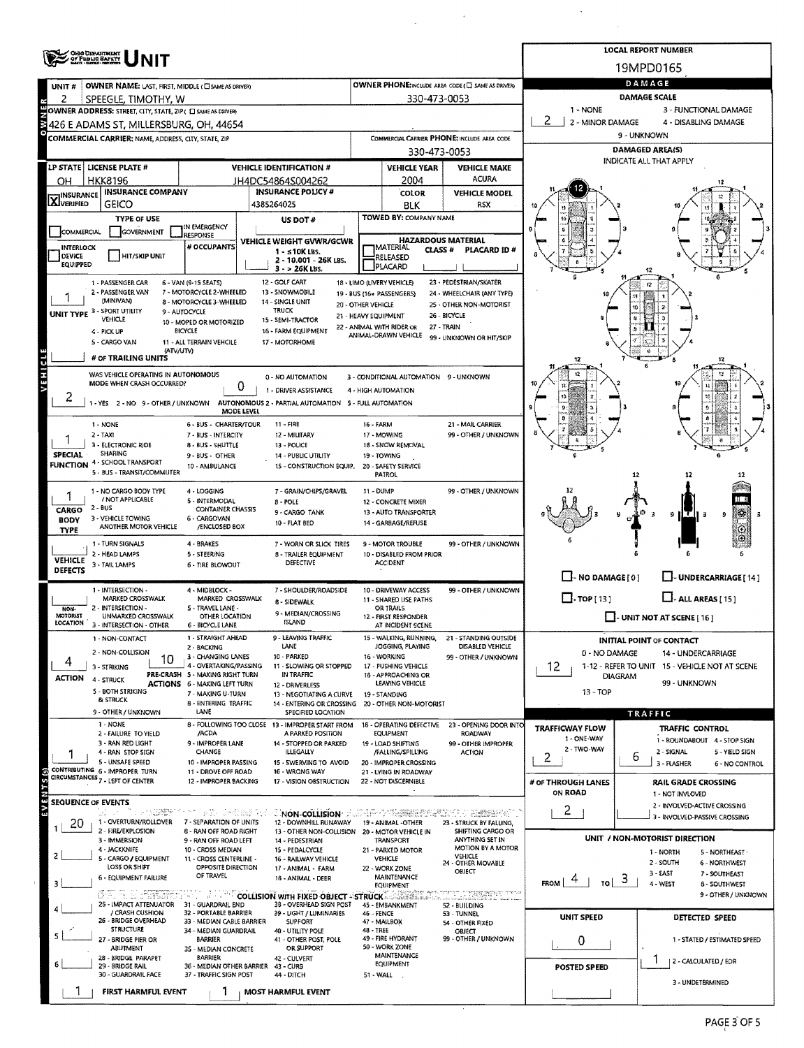|                                   | <b>OHIO DEPARTMENT</b><br>OF PUBLIC BAPETY                                         |                                                    |                                                                         |                                                        |                                                 |                                                    |                                   | <b>LOCAL REPORT NUMBER</b>                                           |  |  |  |  |  |
|-----------------------------------|------------------------------------------------------------------------------------|----------------------------------------------------|-------------------------------------------------------------------------|--------------------------------------------------------|-------------------------------------------------|----------------------------------------------------|-----------------------------------|----------------------------------------------------------------------|--|--|--|--|--|
|                                   |                                                                                    |                                                    |                                                                         |                                                        |                                                 |                                                    | 19MPD0165                         |                                                                      |  |  |  |  |  |
| UNIT #                            | OWNER NAME: LAST, FIRST, MIDDLE (C) SAME AS DRIVER)                                |                                                    |                                                                         |                                                        |                                                 | OWNER PHONE: INCLUDE AREA CODE (E) SAME AS DRIVERY | DAMAGE<br>DAMAGE SCALE            |                                                                      |  |  |  |  |  |
| 2                                 | SPEEGLE, TIMOTHY, W<br>OWNER ADDRESS: STREET, CITY, STATE, ZIP ( C SAME AS DRIVER) |                                                    |                                                                         |                                                        | 330-473-0053                                    |                                                    | 1 - NONE<br>3 - FUNCTIONAL DAMAGE |                                                                      |  |  |  |  |  |
|                                   | 426 E ADAMS ST, MILLERSBURG, OH, 44654                                             |                                                    |                                                                         | 2<br>2 - MINOR DAMAGE<br>4 - DISABLING DAMAGE          |                                                 |                                                    |                                   |                                                                      |  |  |  |  |  |
|                                   | <b>COMMERCIAL CARRIER: NAME, ADDRESS, CITY, STATE, ZIP</b>                         |                                                    |                                                                         |                                                        |                                                 | COMMERCIAL CARRIER PHONE: INCLUDE AREA CODE        | 9 - UNKNOWN                       |                                                                      |  |  |  |  |  |
|                                   |                                                                                    |                                                    |                                                                         |                                                        | 330-473-0053                                    |                                                    |                                   | <b>DAMAGED AREA(S)</b>                                               |  |  |  |  |  |
|                                   | LP STATE   LICENSE PLATE #                                                         |                                                    | <b>VEHICLE IDENTIFICATION #</b>                                         |                                                        | <b>VEHICLE YEAR</b>                             | <b>VEHICLE MAKE</b>                                |                                   | <b>INDICATE ALL THAT APPLY</b>                                       |  |  |  |  |  |
| OН                                | <b>HKK8196</b>                                                                     |                                                    | JH4DC54864S004262                                                       |                                                        | 2004                                            | <b>ACURA</b>                                       |                                   |                                                                      |  |  |  |  |  |
| <b>X</b> INSURANCE                | <b>INSURANCE COMPANY</b><br><b>GEICO</b>                                           |                                                    | <b>INSURANCE POLICY #</b><br>4385264025                                 |                                                        | <b>COLOR</b><br>BLK                             | <b>VEHICLE MODEL</b><br>RSX                        |                                   |                                                                      |  |  |  |  |  |
|                                   | <b>TYPE OF USE</b>                                                                 |                                                    | US DOT #                                                                |                                                        | TOWED BY: COMPANY NAME                          |                                                    |                                   |                                                                      |  |  |  |  |  |
| COMMERCIAL                        | GOVERNMENT                                                                         | IN EMERGENCY<br><b>RESPONSE</b>                    |                                                                         |                                                        |                                                 |                                                    |                                   |                                                                      |  |  |  |  |  |
| <b>INTERLOCK</b>                  |                                                                                    | VEHICLE WEIGHT GVWR/GCWR<br>$1 - 510K$ LBS.        |                                                                         | <b>HAZARDOUS MATERIAL</b><br>MATERIAL<br><b>CLASS#</b> | PLACARD ID#                                     |                                                    |                                   |                                                                      |  |  |  |  |  |
| DEVICE<br><b>EQUIPPED</b>         | <b>HIT/SKIP UNIT</b>                                                               |                                                    | 2 - 10.001 - 26K LBS.<br>3 - > 26K LBS.                                 | RELEASED<br>PLACARD                                    |                                                 |                                                    |                                   |                                                                      |  |  |  |  |  |
|                                   | 1 - PASSENGER CAR                                                                  | 6 - VAN (9-15 SEATS)                               | 12 - GOLF CART                                                          |                                                        | 18 - LIMO (LIVERY VEHICLE)                      | 23 - PEDESTRIAN/SKATER                             |                                   |                                                                      |  |  |  |  |  |
|                                   | 2 - PASSENGER VAN                                                                  | 7 - MOTORCYCLE 2-WHEELED                           | 13 - SNOWMOBILE                                                         |                                                        | 19 - BUS (16+ PASSENGERS)                       | 24 - WHEELCHAIR (ANY TYPE)                         |                                   | 12                                                                   |  |  |  |  |  |
|                                   | (MINIVAN)<br><b>UNIT TYPE 3 - SPORT UTILITY</b>                                    | 8 - MOTORCYCLE 3-WHEELED<br>9 - AUTOCYCLE          | 14 - SINGLE UNIT<br><b>TRUCK</b>                                        | 20 - OTHER VEHICLE<br>21 - HEAVY EQUIPMENT             |                                                 | 25 - OTHER NON-MOTORIST<br>26 - BICYCLE            |                                   | 10                                                                   |  |  |  |  |  |
|                                   | <b>VEHICLE</b>                                                                     | 10 - MOPED OR MOTORIZED                            | 15 - SEMI-TRACTOR                                                       |                                                        | 22 - ANIMAL WITH RIDER OR                       | 27 - TRAIN                                         |                                   | 台                                                                    |  |  |  |  |  |
|                                   | 4 - PICK UP<br>5 - CARGO VAN                                                       | <b>BICYCLE</b><br>11 - ALL TERRAIN VEHCILE         | 16 - FARM EQUIPMENT<br>17 - MOTORHOME                                   |                                                        | ANIMAL-DRAWN VEHICLE                            | 99 - UNKNOWN OR HIT/SKIP                           |                                   |                                                                      |  |  |  |  |  |
|                                   | (ATV/UTV)<br># OF TRAILING UNITS                                                   |                                                    |                                                                         |                                                        |                                                 |                                                    | 12                                | ø<br>12                                                              |  |  |  |  |  |
|                                   | WAS VEHICLE OPERATING IN AUTONOMOUS                                                |                                                    | 0 - NO AUTOMATION                                                       |                                                        | 3 - CONDITIONAL AUTOMATION 9 - UNKNOWN          |                                                    |                                   |                                                                      |  |  |  |  |  |
|                                   | MODE WHEN CRASH OCCURRED?                                                          |                                                    | 0<br>1 - DRIVER ASSISTANCE                                              |                                                        | 4 - HIGH AUTOMATION                             |                                                    |                                   |                                                                      |  |  |  |  |  |
| 2                                 | 1 - YES 2 - NO 9 - OTHER / UNKNOWN                                                 |                                                    | AUTONOMOUS 2 - PARTIAL AUTOMATION 5 - FULL AUTOMATION                   |                                                        |                                                 |                                                    |                                   |                                                                      |  |  |  |  |  |
|                                   |                                                                                    |                                                    | <b>MODE LEVEL</b>                                                       |                                                        |                                                 |                                                    |                                   |                                                                      |  |  |  |  |  |
|                                   | 1 - NONE<br>2 - TAXI                                                               | 6 - BUS - CHARTER/TOUR<br>7 - BUS - INTERCITY      | $11 - FIRE$<br>12 - MILITARY                                            | 16 - FARM                                              | 17 - MOWING                                     | 21 - MAIL CARRIER<br>99 - OTHER / UNKNOWN          |                                   |                                                                      |  |  |  |  |  |
|                                   | 3 - ELECTRONIC RIDE                                                                | 8 - BUS - SHUTTLE                                  | 13 - POLICE                                                             |                                                        | 18 - SNOW REMOVAL                               |                                                    |                                   |                                                                      |  |  |  |  |  |
| <b>SPECIAL</b><br><b>FUNCTION</b> | <b>SHARING</b><br>4 - SCHOOL TRANSPORT                                             | 9-BUS-OTHER<br>10 - AMBULANCE                      | <b>14 - PUBLIC UTILITY</b><br>15 - CONSTRUCTION EQUIP.                  |                                                        | 19 - TOWING<br>20 - SAFETY SERVICE              |                                                    |                                   |                                                                      |  |  |  |  |  |
|                                   | 5 - BUS - TRANSIT/COMMUTER                                                         |                                                    |                                                                         |                                                        | <b>PATROL</b>                                   |                                                    |                                   | 12<br>12<br>12                                                       |  |  |  |  |  |
|                                   | 1 - NO CARGO BODY TYPE<br>/ NOT APPLICABLE                                         | 4 - LOGGING                                        | 7 - GRAIN/CHIPS/GRAVEL                                                  | 11 - DUMP                                              |                                                 | 99 - OTHER / UNKNOWN                               |                                   |                                                                      |  |  |  |  |  |
| CARGO                             | $2 - BUS$                                                                          | 5 - INTERMODAL<br><b>CONTAINER CHASSIS</b>         | 8 - POLE<br>9 - CARGO TANK                                              |                                                        | 12 - CONCRETE MIXER<br>13 - AUTO TRANSPORTER    |                                                    |                                   | ß.<br>9 H.T<br>$\overline{\mathbf{z}}$<br>-3<br>13                   |  |  |  |  |  |
| <b>BODY</b>                       | 3 - VEHICLE TOWING<br>ANOTHER MOTOR VEHICLE                                        | 6 - CARGOVAN<br>/ENCLOSED BOX                      | 10 - FLAT BED                                                           |                                                        | 14 - GARBAGE/REFUSE                             |                                                    |                                   | 9<br>$\circ$                                                         |  |  |  |  |  |
| <b>TYPE</b>                       | 1 - TURN SIGNALS                                                                   | 4 - BRAKES                                         | 7 - WORN OR SLICK TIRES                                                 |                                                        | 9 - MOTOR TROUBLE                               | 99 - OTHER / UNKNOWN                               |                                   | $\Theta$                                                             |  |  |  |  |  |
| <b>VEHICLE</b>                    | 2 - HEAD LAMPS                                                                     | 5 - STEERING                                       | 8 - TRAILER EQUIPMENT                                                   |                                                        | 10 - DISABLED FROM PRIOR                        |                                                    |                                   |                                                                      |  |  |  |  |  |
| <b>DEFECTS</b>                    | 3 - TAIL LAMPS                                                                     | <b>6 - TIRE BLOWOUT</b>                            | <b>DEFECTIVE</b>                                                        |                                                        | <b>ACCIDENT</b>                                 |                                                    |                                   |                                                                      |  |  |  |  |  |
|                                   | 1 - INTERSECTION -                                                                 | 4 - MIDBLOCK -                                     | 7 - SHOULDER/ROADSIDE                                                   |                                                        |                                                 | 99 - OTHER / UNKNOWN                               | $\Box$ - NO DAMAGE [ 0 ]          | L. J- UNDERCARRIAGE [ 14 ]                                           |  |  |  |  |  |
|                                   | MARKED CROSSWALK                                                                   | MARKED CROSSWALK                                   | <b>B - SIDEWALK</b>                                                     | 10 - DRIVEWAY ACCESS<br>11 - SHARED USE PATHS          |                                                 |                                                    | $\Box$ . TOP [13]                 | $\Box$ - ALL AREAS [15]                                              |  |  |  |  |  |
| NON-<br>MOTORIST                  | 2 - INTERSECTION -<br>UNMARKED CROSSWALK                                           | 5 - TRAVEL LANE -<br>OTHER LOCATION                | 9 - MEDIAN/CROSSING                                                     | OR TRAILS<br>12 - FIRST RESPONDER                      |                                                 |                                                    | $\Box$ - UNIT NOT AT SCENE [ 16 ] |                                                                      |  |  |  |  |  |
| LOCATION                          | 3 - INTERSECTION - OTHER                                                           | 6 - BICYCLE LANE                                   | <b>ISLAND</b>                                                           |                                                        | AT INCIDENT SCENE                               |                                                    |                                   |                                                                      |  |  |  |  |  |
|                                   | 1 - NON-CONTACT                                                                    | 1 - STRAIGHT AHEAD<br>2 - BACKING                  | 9 - LEAVING TRAFFIC<br>LANE                                             |                                                        | 15 - WALKING, RUNNING,<br>JOGGING, PLAYING      | 21 - STANDING OUTSIDE<br><b>DISABLED VEHICLE</b>   |                                   | <b>INITIAL POINT OF CONTACT</b>                                      |  |  |  |  |  |
| 4                                 | 2 - NON-COLLISION<br>10<br>3 - STRIKING                                            | 3 - CHANGING LANES<br>4 - OVERTAKING/PASSING       | 10 - PARKED<br>11 - SLOWING OR STOPPED                                  |                                                        | 16 - WORKING<br>17 - PUSHING VEHICLE            | 99 - OTHER / UNKNOWN                               | 0 - NO DAMAGE                     | 14 - UNDERCARRIAGE<br>1-12 - REFER TO UNIT 15 - VEHICLE NOT AT SCENE |  |  |  |  |  |
| ACTION                            | 4 - STRUCK                                                                         | PRE-CRASH 5 - MAKING RIGHT TURN                    | IN TRAFFIC                                                              |                                                        | 18 - APPROACHING OR                             |                                                    | 12<br><b>DIAGRAM</b>              |                                                                      |  |  |  |  |  |
|                                   | 5 - BOTH STRIKING                                                                  | ACTIONS 6 - MAKING LEFT TURN<br>7 - MAKING U-TURN  | 12 - DRIVERLESS<br>13 - NEGOTIATING A CURVE                             |                                                        | LEAVING VEHICLE<br>19 - STANDING                |                                                    | 99 - UNKNOWN<br>$13 - TOP$        |                                                                      |  |  |  |  |  |
|                                   | & STRUCK<br>9 - OTHER / UNKNOWN                                                    | <b>8 - ENTERING TRAFFIC</b><br>LANE                | 14 - ENTERING OR CROSSING<br>SPECIFIED LOCATION                         |                                                        | 20 - OTHER NON-MOTORIST                         |                                                    |                                   |                                                                      |  |  |  |  |  |
|                                   | 1 - NONE                                                                           |                                                    | 8 - FOLLOWING TOO CLOSE 13 - IMPROPER START FROM                        |                                                        | 18 - OPERATING DEFECTIVE                        | 23 - OPENING DOOR INTO                             | TRAFFICWAY FLOW                   | TRAFFIC<br>TRAFFIC CONTROL                                           |  |  |  |  |  |
|                                   | 2 - FAILURE TO YIELD<br>3 - RAN RED LIGHT                                          | /ACDA<br>9 - IMPROPER LANE                         | A PARKED POSITION<br>14 - STOPPED OR PARKED                             |                                                        | <b>EQUIPMENT</b><br>19 - LOAD SHIFTING          | ROADWAY<br>99 - OTHER IMPROPER                     | 1 - ONE-WAY                       | 1 - ROUNDABOUT 4 - STOP SIGN                                         |  |  |  |  |  |
| 1                                 | 4 - RAN STOP SIGN                                                                  | <b>CHANGE</b>                                      | ILLEGALLY                                                               |                                                        | /FALLING/SPILLING                               | <b>ACTION</b>                                      | 2 - TWO-WAY<br>2                  | 2 - SIGNAL<br>5 - YIELD SIGN<br>6                                    |  |  |  |  |  |
|                                   | 5 - UNSAFE SPEED<br>CONTRIBUTING 6 - IMPROPER TURN                                 | 10 - IMPROPER PASSING<br>11 - DROVE OFF ROAD       | 15 - SWERVING TO AVOID<br>16 - WRONG WAY                                |                                                        | 20 - IMPROPER CROSSING<br>21 - LYING IN ROADWAY |                                                    |                                   | 3 - FLASHER<br>6 - NO CONTROL                                        |  |  |  |  |  |
|                                   | CIRCUMSTANCES 7 - LEFT OF CENTER                                                   | 12 - IMPROPER BACKING                              | 17 - VISION OBSTRUCTION                                                 |                                                        | 22 - NOT DISCERNIBLE                            |                                                    | # OF THROUGH LANES                | <b>RAIL GRADE CROSSING</b>                                           |  |  |  |  |  |
| <b>SEQUENCE OF EVENTS</b>         |                                                                                    |                                                    |                                                                         |                                                        |                                                 |                                                    | ON ROAD                           | 1 - NOT INVLOVED<br>2 - INVOLVED-ACTIVE CROSSING                     |  |  |  |  |  |
|                                   | $\mathcal{L}_{\alpha}$                                                             | SEAS 주변 이 11 등 12 Seas 22 Sea                      | <b>CINON-COLLISION</b> COLLEGE AND RESIDENCE.                           |                                                        |                                                 | 11. REBBY                                          | 2                                 | 3 - INVOLVED-PASSIVE CROSSING                                        |  |  |  |  |  |
| 20                                | 1 - OVERTURN/ROLLOVER<br>2 - FIRE/EXPLOSION                                        | 7 - SEPARATION OF UNITS<br>8 - RAN OFF ROAD RIGHT  | 12 - DOWNHILL RUNAWAY<br>13 - OTHER NON-COLLISION 20 - MOTOR VEHICLE IN |                                                        | 19 - ANIMAL -OTHER                              | 23 - STRUCK BY FALLING,<br>SHIFTING CARGO OR       |                                   |                                                                      |  |  |  |  |  |
|                                   | 3 - IMMERSION<br>4 - JACKKNIFE                                                     | 9 - RAN OFF ROAD LEFT<br>10 - CROSS MEDIAN         | 14 - PEDESTRIAN<br>15 - PEDALCYCLE                                      |                                                        | TRANSPORT<br>21 - PARKED MOTOR                  | ANYTHING SET IN<br><b>MOTION BY A MOTOR</b>        |                                   | UNIT / NON-MOTORIST DIRECTION                                        |  |  |  |  |  |
|                                   | 5 - CARGO / EQUIPMENT                                                              | 11 - CROSS CENTERLINE -                            | 16 - RAILWAY VEHICLE                                                    |                                                        | VEHICLE                                         | <b>VEHICLE</b><br>24 - OTHER MOVABLE               |                                   | 1 - NORTH<br>5 - NORTHEAST<br>2 - SOUTH<br>6 - NORTHWEST             |  |  |  |  |  |
|                                   | LOSS OR SHIFT<br>6 - EQUIPMENT FAILURE                                             | OPPOSITE DIRECTION<br>OF TRAVEL                    | 17 - ANIMAL - FARM<br>18 - ANIMAL - DEER                                |                                                        | 22 - WORK ZONE<br>MAINTENANCE                   | OBJECT                                             |                                   | 3 - EAST<br>7 - SOUTHEAST<br>3                                       |  |  |  |  |  |
|                                   |                                                                                    |                                                    | <b>ENTER LEASE STATE OF COLLISION WITH FIXED OBJECT ASTRUCK!</b>        |                                                        | <b>EQUIPMENT</b><br>avozatori<br>Maximini       | TVITI LIKKEMBELITTY                                | <b>FROM</b><br>TOI                | 4 - WEST<br>8 - SOUTHWEST<br>9 - OTHER / UNKNOWN                     |  |  |  |  |  |
|                                   | 25 - IMPACT ATTENUATOR                                                             | 31 - GUARDRAIL END                                 | 3B - OVERHEAD SIGN POST                                                 |                                                        | 45 - EMBANKMENT                                 | 52 - BUILDING                                      |                                   |                                                                      |  |  |  |  |  |
|                                   | / CRASH CUSHION<br>26 - BRIDGE OVERHEAD                                            | 32 - PORTABLE BARRIER<br>33 - MEDIAN CABLE BARRIER | 39 - LIGHT / LUMINARIES<br><b>SUPPORT</b>                               | 46 - FENCE                                             | 47 - MAILBOX                                    | 53 - TUNNEL<br>54 - OTHER FIXED                    | UNIT SPEED                        | DETECTED SPEED                                                       |  |  |  |  |  |
|                                   | <b>STRUCTURE</b><br>27 - BRIDGE PIER OR                                            | 34 - MEDIAN GUARDRAIL<br><b>BARRIER</b>            | 40 - UTILITY POLE<br>41 - OTHER POST, POLE                              | 48 - TREE                                              | 49 - FIRE HYDRANT                               | OBJECT<br>99 - OTHER / UNKNOWN                     | 0                                 | 1 - STATED / ESTIMATED SPEED                                         |  |  |  |  |  |
|                                   | ABUTMENT                                                                           | 35 - MEDIAN CONCRETE                               | OR SUPPORT                                                              |                                                        | 50 - WORK ZONE<br><b>MAINTENANCE</b>            |                                                    |                                   |                                                                      |  |  |  |  |  |
|                                   | 28 - BRIDGE PARAPET<br>29 - BRIDGE RAIL                                            | BARRIER<br>36 - MEDIAN OTHER BARRIER               | 42 - CULVERT<br>43 - CURB                                               | <b>EQUIPMENT</b><br><b>POSTED SPEED</b>                |                                                 |                                                    | 2 - CALCULATED / EDR              |                                                                      |  |  |  |  |  |
|                                   | 30 - GUARDRAIL FACE                                                                | 37 - TRAFFIC SIGN POST                             | 44 - DITCH                                                              |                                                        | 51 - WALL.                                      |                                                    |                                   | 3 - UNDETERMINED                                                     |  |  |  |  |  |
|                                   | <b>FIRST HARMFUL EVENT</b>                                                         | 1                                                  | <b>MOST HARMFUL EVENT</b>                                               |                                                        |                                                 |                                                    |                                   |                                                                      |  |  |  |  |  |

 $\sim$   $\sim$ 

 $\sim$   $\sim$ 

 $\ddot{\phantom{a}}$ 

 $\bar{z}$